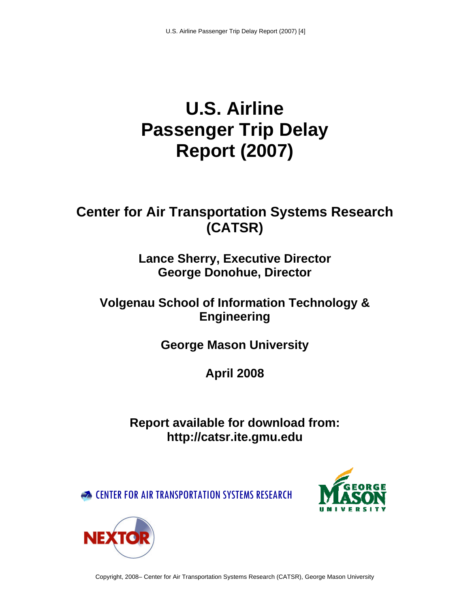# **U.S. Airline Passenger Trip Delay Report (2007)**

## **Center for Air Transportation Systems Research (CATSR)**

**Lance Sherry, Executive Director George Donohue, Director** 

**Volgenau School of Information Technology & Engineering** 

**George Mason University** 

**April 2008** 

**Report available for download from: http://catsr.ite.gmu.edu** 

CENTER FOR AIR TRANSPORTATION SYSTEMS RESEARCH CENTER FOR AIR TRANSPORTATION SYSTEMS RESEARCH





Copyright, 2008– Center for Air Transportation Systems Research (CATSR), George Mason University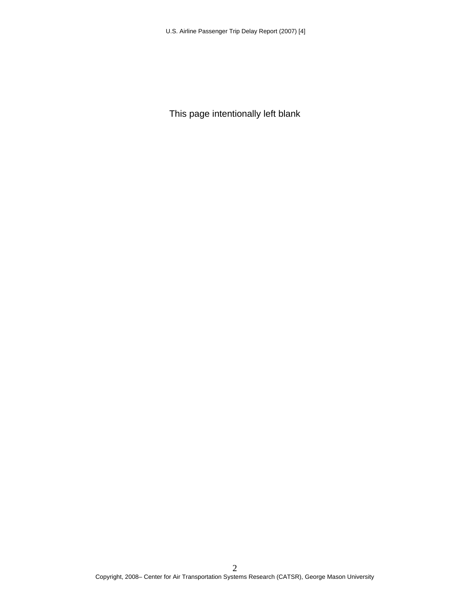This page intentionally left blank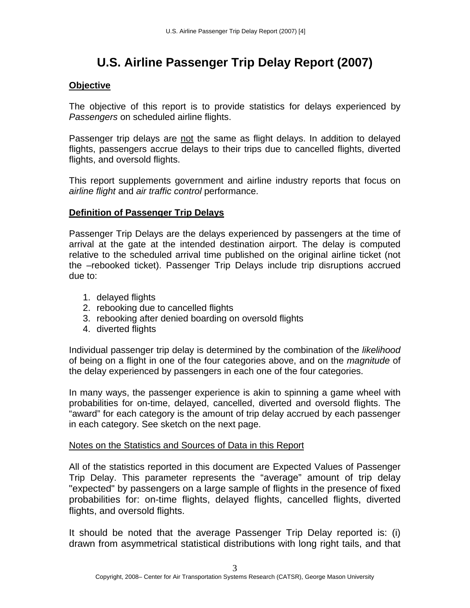### **U.S. Airline Passenger Trip Delay Report (2007)**

#### **Objective**

The objective of this report is to provide statistics for delays experienced by *Passengers* on scheduled airline flights.

Passenger trip delays are not the same as flight delays. In addition to delayed flights, passengers accrue delays to their trips due to cancelled flights, diverted flights, and oversold flights.

This report supplements government and airline industry reports that focus on *airline flight* and *air traffic control* performance.

#### **Definition of Passenger Trip Delays**

Passenger Trip Delays are the delays experienced by passengers at the time of arrival at the gate at the intended destination airport. The delay is computed relative to the scheduled arrival time published on the original airline ticket (not the –rebooked ticket). Passenger Trip Delays include trip disruptions accrued due to:

- 1. delayed flights
- 2. rebooking due to cancelled flights
- 3. rebooking after denied boarding on oversold flights
- 4. diverted flights

Individual passenger trip delay is determined by the combination of the *likelihood* of being on a flight in one of the four categories above, and on the *magnitude* of the delay experienced by passengers in each one of the four categories.

In many ways, the passenger experience is akin to spinning a game wheel with probabilities for on-time, delayed, cancelled, diverted and oversold flights. The "award" for each category is the amount of trip delay accrued by each passenger in each category. See sketch on the next page.

#### Notes on the Statistics and Sources of Data in this Report

All of the statistics reported in this document are Expected Values of Passenger Trip Delay. This parameter represents the "average" amount of trip delay "expected" by passengers on a large sample of flights in the presence of fixed probabilities for: on-time flights, delayed flights, cancelled flights, diverted flights, and oversold flights.

It should be noted that the average Passenger Trip Delay reported is: (i) drawn from asymmetrical statistical distributions with long right tails, and that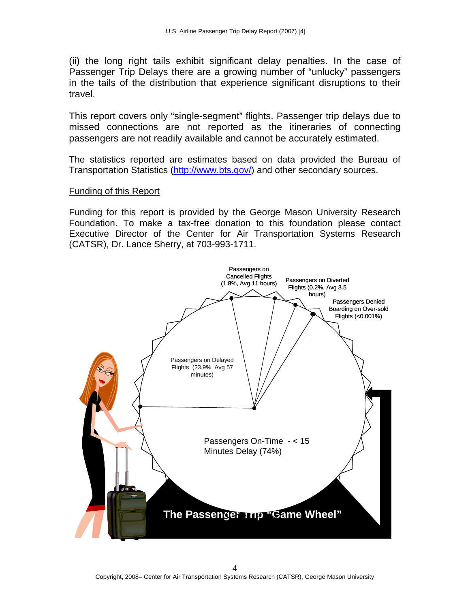(ii) the long right tails exhibit significant delay penalties. In the case of Passenger Trip Delays there are a growing number of "unlucky" passengers in the tails of the distribution that experience significant disruptions to their travel.

This report covers only "single-segment" flights. Passenger trip delays due to missed connections are not reported as the itineraries of connecting passengers are not readily available and cannot be accurately estimated.

The statistics reported are estimates based on data provided the Bureau of Transportation Statistics (http://www.bts.gov/) and other secondary sources.

#### Funding of this Report

Funding for this report is provided by the George Mason University Research Foundation. To make a tax-free donation to this foundation please contact Executive Director of the Center for Air Transportation Systems Research (CATSR), Dr. Lance Sherry, at 703-993-1711.

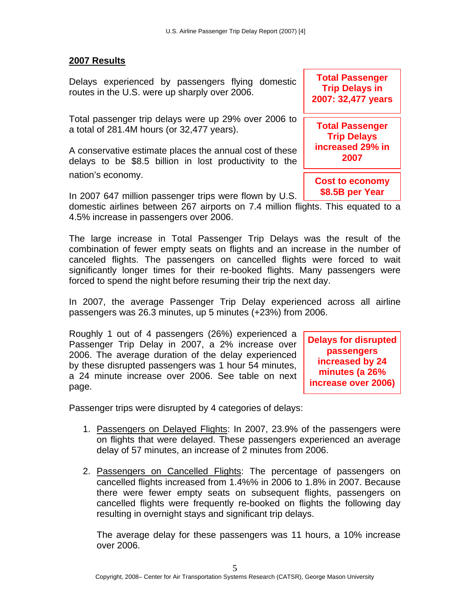#### **2007 Results**

Delays experienced by passengers flying domestic routes in the U.S. were up sharply over 2006.

Total passenger trip delays were up 29% over 2006 to a total of 281.4M hours (or 32,477 years).

A conservative estimate places the annual cost of these delays to be \$8.5 billion in lost productivity to the nation's economy.

In 2007 647 million passenger trips were flown by U.S.

domestic airlines between 267 airports on 7.4 million flights. This equated to a 4.5% increase in passengers over 2006.

The large increase in Total Passenger Trip Delays was the result of the combination of fewer empty seats on flights and an increase in the number of canceled flights. The passengers on cancelled flights were forced to wait significantly longer times for their re-booked flights. Many passengers were forced to spend the night before resuming their trip the next day.

In 2007, the average Passenger Trip Delay experienced across all airline passengers was 26.3 minutes, up 5 minutes (+23%) from 2006.

Roughly 1 out of 4 passengers (26%) experienced a Passenger Trip Delay in 2007, a 2% increase over 2006. The average duration of the delay experienced by these disrupted passengers was 1 hour 54 minutes, a 24 minute increase over 2006. See table on next page.

**Delays for disrupted passengers increased by 24 minutes (a 26% increase over 2006)** 

Passenger trips were disrupted by 4 categories of delays:

- 1. Passengers on Delayed Flights: In 2007, 23.9% of the passengers were on flights that were delayed. These passengers experienced an average delay of 57 minutes, an increase of 2 minutes from 2006.
- 2. Passengers on Cancelled Flights: The percentage of passengers on cancelled flights increased from 1.4%% in 2006 to 1.8% in 2007. Because there were fewer empty seats on subsequent flights, passengers on cancelled flights were frequently re-booked on flights the following day resulting in overnight stays and significant trip delays.

The average delay for these passengers was 11 hours, a 10% increase over 2006.

**Total Passenger Trip Delays in 2007: 32,477 years** 

**Total Passenger Trip Delays increased 29% in 2007** 

**Cost to economy \$8.5B per Year**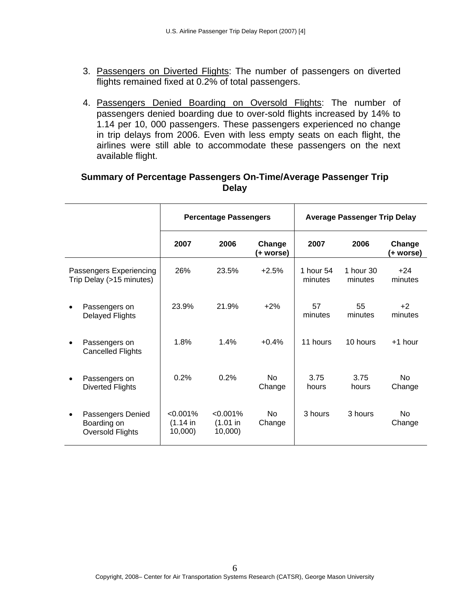- 3. Passengers on Diverted Flights: The number of passengers on diverted flights remained fixed at 0.2% of total passengers.
- 4. Passengers Denied Boarding on Oversold Flights: The number of passengers denied boarding due to over-sold flights increased by 14% to 1.14 per 10, 000 passengers. These passengers experienced no change in trip delays from 2006. Even with less empty seats on each flight, the airlines were still able to accommodate these passengers on the next available flight.

#### **Summary of Percentage Passengers On-Time/Average Passenger Trip Delay**

|                                                      |                                      | <b>Percentage Passengers</b>      |                          | <b>Average Passenger Trip Delay</b> |                        |                          |
|------------------------------------------------------|--------------------------------------|-----------------------------------|--------------------------|-------------------------------------|------------------------|--------------------------|
|                                                      | 2007                                 | 2006                              | Change<br>+ worse)       | 2007                                | 2006                   | Change<br>(+ worse)      |
| Passengers Experiencing<br>Trip Delay (>15 minutes)  | 26%                                  | 23.5%                             | $+2.5%$                  | 1 hour $54$<br>minutes              | 1 hour $30$<br>minutes | $+24$<br>minutes         |
| Passengers on<br><b>Delayed Flights</b>              | 23.9%                                | 21.9%                             | $+2\%$                   | 57<br>minutes                       | 55<br>minutes          | $+2$<br>minutes          |
| Passengers on<br>Cancelled Flights                   | 1.8%                                 | 1.4%                              | $+0.4%$                  | 11 hours                            | 10 hours               | $+1$ hour                |
| Passengers on<br><b>Diverted Flights</b>             | 0.2%                                 | 0.2%                              | N <sub>0</sub><br>Change | 3.75<br>hours                       | 3.75<br>hours          | N <sub>o</sub><br>Change |
| Passengers Denied<br>Boarding on<br>Oversold Flights | $< 0.001\%$<br>$(1.14)$ in<br>10,000 | $< 0.001\%$<br>(1.01 in<br>10,000 | N <sub>0</sub><br>Change | 3 hours                             | 3 hours                | N <sub>0</sub><br>Change |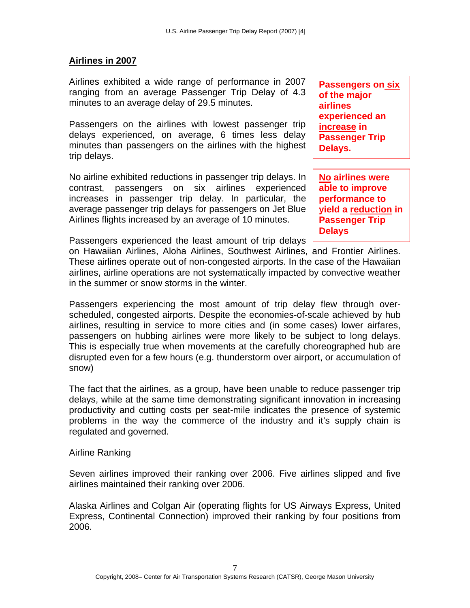#### **Airlines in 2007**

Airlines exhibited a wide range of performance in 2007 ranging from an average Passenger Trip Delay of 4.3 minutes to an average delay of 29.5 minutes.

Passengers on the airlines with lowest passenger trip delays experienced, on average, 6 times less delay minutes than passengers on the airlines with the highest trip delays.

No airline exhibited reductions in passenger trip delays. In contrast, passengers on six airlines experienced increases in passenger trip delay. In particular, the average passenger trip delays for passengers on Jet Blue Airlines flights increased by an average of 10 minutes.

Passengers experienced the least amount of trip delays

**Passengers on six of the major airlines experienced an increase in Passenger Trip Delays.** 

**No airlines were able to improve performance to yield a reduction in Passenger Trip Delays** 

on Hawaiian Airlines, Aloha Airlines, Southwest Airlines, and Frontier Airlines. These airlines operate out of non-congested airports. In the case of the Hawaiian airlines, airline operations are not systematically impacted by convective weather in the summer or snow storms in the winter.

Passengers experiencing the most amount of trip delay flew through overscheduled, congested airports. Despite the economies-of-scale achieved by hub airlines, resulting in service to more cities and (in some cases) lower airfares, passengers on hubbing airlines were more likely to be subject to long delays. This is especially true when movements at the carefully choreographed hub are disrupted even for a few hours (e.g. thunderstorm over airport, or accumulation of snow)

The fact that the airlines, as a group, have been unable to reduce passenger trip delays, while at the same time demonstrating significant innovation in increasing productivity and cutting costs per seat-mile indicates the presence of systemic problems in the way the commerce of the industry and it's supply chain is regulated and governed.

#### Airline Ranking

Seven airlines improved their ranking over 2006. Five airlines slipped and five airlines maintained their ranking over 2006.

Alaska Airlines and Colgan Air (operating flights for US Airways Express, United Express, Continental Connection) improved their ranking by four positions from 2006.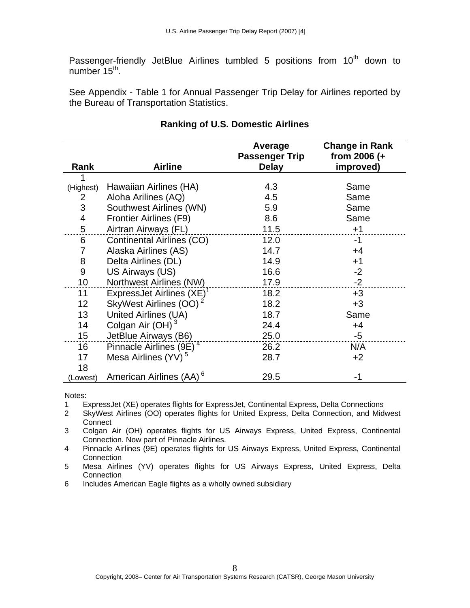Passenger-friendly JetBlue Airlines tumbled 5 positions from 10<sup>th</sup> down to number  $15<sup>th</sup>$ .

See Appendix - Table 1 for Annual Passenger Trip Delay for Airlines reported by the Bureau of Transportation Statistics.

|           |                                       | Average<br><b>Passenger Trip</b> | <b>Change in Rank</b><br>from $2006 (+$ |
|-----------|---------------------------------------|----------------------------------|-----------------------------------------|
| Rank      | <b>Airline</b>                        | <b>Delay</b>                     | improved)                               |
|           |                                       |                                  |                                         |
| (Highest) | Hawaiian Airlines (HA)                | 4.3                              | Same                                    |
| 2         | Aloha Arilines (AQ)                   | 4.5                              | Same                                    |
| 3         | Southwest Airlines (WN)               | 5.9                              | Same                                    |
| 4         | <b>Frontier Airlines (F9)</b>         | 8.6                              | Same                                    |
| 5         | Airtran Airways (FL)                  | 11.5                             | $+1$                                    |
| 6         | <b>Continental Airlines (CO)</b>      | 12.0                             | $-1$                                    |
| 7         | Alaska Airlines (AS)                  | 14.7                             | $+4$                                    |
| 8         | Delta Airlines (DL)                   | 14.9                             | $+1$                                    |
| 9         | US Airways (US)                       | 16.6                             | $-2$                                    |
| 10        | <b>Northwest Airlines (NW)</b>        | 17.9                             | $-2$                                    |
| 11        | ExpressJet Airlines (XE) <sup>1</sup> | 18.2                             | $+3$                                    |
| 12        | SkyWest Airlines (OO) <sup>2</sup>    | 18.2                             | $+3$                                    |
| 13        | United Airlines (UA)                  | 18.7                             | Same                                    |
| 14        | Colgan Air (OH) <sup>3</sup>          | 24.4                             | $+4$                                    |
| 15        | JetBlue Airways (B6)                  | 25.0                             | -5                                      |
| 16        | Pinnacle Airlines (9E) <sup>4</sup>   | 26.2                             | N/A                                     |
| 17        | Mesa Airlines (YV) <sup>5</sup>       | 28.7                             | $+2$                                    |
| 18        |                                       |                                  |                                         |
| (Lowest)  | American Airlines (AA) <sup>6</sup>   | 29.5                             | -1                                      |

#### **Ranking of U.S. Domestic Airlines**

Notes:

- 1 ExpressJet (XE) operates flights for ExpressJet, Continental Express, Delta Connections
- 2 SkyWest Airlines (OO) operates flights for United Express, Delta Connection, and Midwest **Connect**
- 3 Colgan Air (OH) operates flights for US Airways Express, United Express, Continental Connection. Now part of Pinnacle Airlines.
- 4 Pinnacle Airlines (9E) operates flights for US Airways Express, United Express, Continental **Connection**
- 5 Mesa Airlines (YV) operates flights for US Airways Express, United Express, Delta **Connection**
- 6 Includes American Eagle flights as a wholly owned subsidiary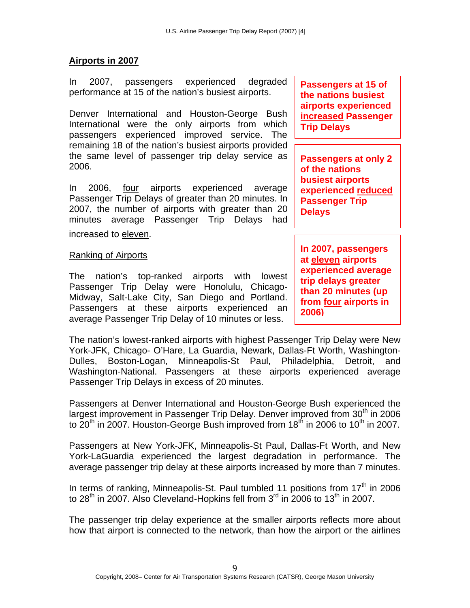#### **Airports in 2007**

In 2007, passengers experienced degraded performance at 15 of the nation's busiest airports.

Denver International and Houston-George Bush International were the only airports from which passengers experienced improved service. The remaining 18 of the nation's busiest airports provided the same level of passenger trip delay service as 2006.

In 2006, four airports experienced average Passenger Trip Delays of greater than 20 minutes. In 2007, the number of airports with greater than 20 minutes average Passenger Trip Delays had increased to eleven.

#### Ranking of Airports

The nation's top-ranked airports with lowest Passenger Trip Delay were Honolulu, Chicago-Midway, Salt-Lake City, San Diego and Portland. Passengers at these airports experienced an average Passenger Trip Delay of 10 minutes or less.

**Passengers at 15 of the nations busiest airports experienced increased Passenger Trip Delays** 

**Passengers at only 2 of the nations busiest airports experienced reduced Passenger Trip Delays** 

**In 2007, passengers at eleven airports experienced average trip delays greater than 20 minutes (up from four airports in 2006)**

The nation's lowest-ranked airports with highest Passenger Trip Delay were New York-JFK, Chicago- O'Hare, La Guardia, Newark, Dallas-Ft Worth, Washington-Dulles, Boston-Logan, Minneapolis-St Paul, Philadelphia, Detroit, and Washington-National. Passengers at these airports experienced average Passenger Trip Delays in excess of 20 minutes.

Passengers at Denver International and Houston-George Bush experienced the largest improvement in Passenger Trip Delay. Denver improved from 30<sup>th</sup> in 2006 to 20<sup>th</sup> in 2007. Houston-George Bush improved from 18<sup>th</sup> in 2006 to 10<sup>th</sup> in 2007.

Passengers at New York-JFK, Minneapolis-St Paul, Dallas-Ft Worth, and New York-LaGuardia experienced the largest degradation in performance. The average passenger trip delay at these airports increased by more than 7 minutes.

In terms of ranking, Minneapolis-St. Paul tumbled 11 positions from  $17<sup>th</sup>$  in 2006 to  $28<sup>th</sup>$  in 2007. Also Cleveland-Hopkins fell from  $3<sup>rd</sup>$  in 2006 to 13<sup>th</sup> in 2007.

The passenger trip delay experience at the smaller airports reflects more about how that airport is connected to the network, than how the airport or the airlines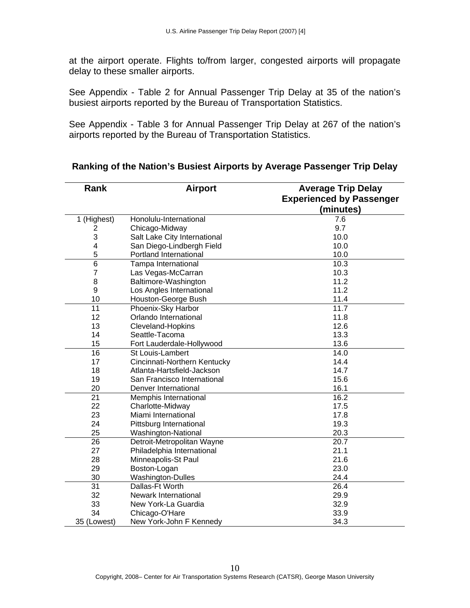at the airport operate. Flights to/from larger, congested airports will propagate delay to these smaller airports.

See Appendix - Table 2 for Annual Passenger Trip Delay at 35 of the nation's busiest airports reported by the Bureau of Transportation Statistics.

See Appendix - Table 3 for Annual Passenger Trip Delay at 267 of the nation's airports reported by the Bureau of Transportation Statistics.

| Rank           | <b>Airport</b>               | <b>Average Trip Delay</b>       |
|----------------|------------------------------|---------------------------------|
|                |                              | <b>Experienced by Passenger</b> |
|                |                              | (minutes)                       |
| 1 (Highest)    | Honolulu-International       | 7.6                             |
| 2              | Chicago-Midway               | 9.7                             |
| 3              | Salt Lake City International | 10.0                            |
| $\overline{4}$ | San Diego-Lindbergh Field    | 10.0                            |
| 5              | Portland International       | 10.0                            |
| $\overline{6}$ | Tampa International          | 10.3                            |
| 7              | Las Vegas-McCarran           | 10.3                            |
| 8              | Baltimore-Washington         | 11.2                            |
| 9              | Los Angles International     | 11.2                            |
| 10             | Houston-George Bush          | 11.4                            |
| 11             | Phoenix-Sky Harbor           | 11.7                            |
| 12             | Orlando International        | 11.8                            |
| 13             | Cleveland-Hopkins            | 12.6                            |
| 14             | Seattle-Tacoma               | 13.3                            |
| 15             | Fort Lauderdale-Hollywood    | 13.6                            |
| 16             | <b>St Louis-Lambert</b>      | 14.0                            |
| 17             | Cincinnati-Northern Kentucky | 14.4                            |
| 18             | Atlanta-Hartsfield-Jackson   | 14.7                            |
| 19             | San Francisco International  | 15.6                            |
| 20             | Denver International         | 16.1                            |
| 21             | Memphis International        | 16.2                            |
| 22             | Charlotte-Midway             | 17.5                            |
| 23             | Miami International          | 17.8                            |
| 24             | Pittsburg International      | 19.3                            |
| 25             | Washington-National          | 20.3                            |
| 26             | Detroit-Metropolitan Wayne   | 20.7                            |
| 27             | Philadelphia International   | 21.1                            |
| 28             | Minneapolis-St Paul          | 21.6                            |
| 29             | Boston-Logan                 | 23.0                            |
| 30             | <b>Washington-Dulles</b>     | 24.4                            |
| 31             | Dallas-Ft Worth              | 26.4                            |
| 32             | Newark International         | 29.9                            |
| 33             | New York-La Guardia          | 32.9                            |
| 34             | Chicago-O'Hare               | 33.9                            |
| 35 (Lowest)    | New York-John F Kennedy      | 34.3                            |

#### **Ranking of the Nation's Busiest Airports by Average Passenger Trip Delay**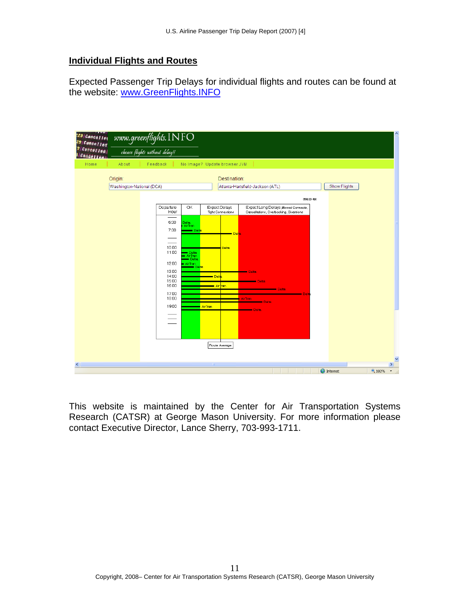#### **Individual Flights and Routes**

Expected Passenger Trip Delays for individual flights and routes can be found at the website: www.GreenFlights.INFO

| 23 Canceller<br>29 Cancellad |                           |                   |                                                 |                                                                                |              |
|------------------------------|---------------------------|-------------------|-------------------------------------------------|--------------------------------------------------------------------------------|--------------|
| S Cancelled<br>Canceller     |                           |                   |                                                 |                                                                                |              |
| Home                         | About                     | Feedback          | No Image? Update browser JVM                    |                                                                                |              |
|                              | Origin:                   |                   | Destination:                                    |                                                                                |              |
|                              | Washington-National (DCA) |                   |                                                 | Atlanta-Hartsfield-Jackson (ATL)                                               | Show Flights |
|                              |                           |                   |                                                 | 3582.20 620                                                                    |              |
|                              |                           | Departure<br>Hour | OK<br>Expect Delays<br><b>Tight Connections</b> | Expect Long Delays, Missed Connects,<br>Cancellations, Overbooking, Diversions |              |
|                              |                           | 6:00              |                                                 |                                                                                |              |
|                              |                           | 7:00              | Delta<br>• AirTran<br>— Delta                   |                                                                                |              |
|                              |                           |                   | <mark>= Del</mark> ta                           |                                                                                |              |
|                              |                           | 10:00             | <b>Delta</b>                                    |                                                                                |              |
|                              |                           | 11:00             | — Delta<br>— AirTran<br><b>Delta</b>            |                                                                                |              |
|                              |                           | 12:00             | AirTran<br><b>Delta</b>                         |                                                                                |              |
|                              |                           | 13:00<br>14:00    | ■ Delt <mark>a</mark>                           | <b>Delta</b>                                                                   |              |
|                              |                           | 15:00<br>16:00    | Air Tran                                        | - Delta                                                                        |              |
|                              |                           | 17:00             |                                                 | Delta<br>Delt                                                                  |              |
|                              |                           | 18:00             |                                                 | AirTran<br><b>Delta</b>                                                        |              |
|                              |                           | 19:00             | <b>AirTran</b>                                  | - Delta                                                                        |              |
|                              |                           |                   |                                                 |                                                                                |              |
|                              |                           |                   |                                                 |                                                                                |              |
|                              |                           |                   |                                                 |                                                                                |              |
|                              |                           |                   | Route Average                                   |                                                                                |              |
|                              |                           |                   |                                                 |                                                                                |              |
|                              |                           |                   |                                                 |                                                                                |              |

This website is maintained by the Center for Air Transportation Systems Research (CATSR) at George Mason University. For more information please contact Executive Director, Lance Sherry, 703-993-1711.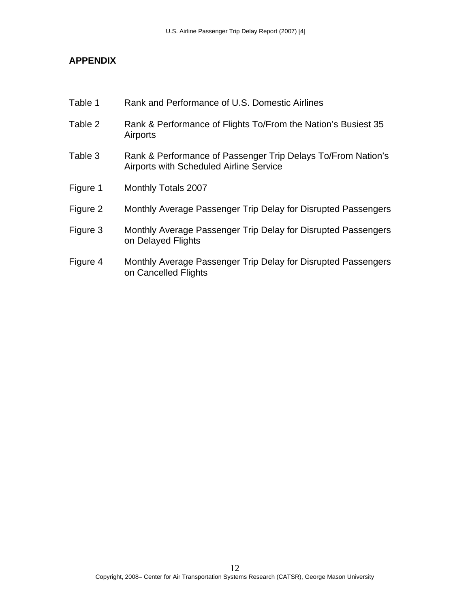#### **APPENDIX**

| Table 1  | Rank and Performance of U.S. Domestic Airlines                                                                 |
|----------|----------------------------------------------------------------------------------------------------------------|
| Table 2  | Rank & Performance of Flights To/From the Nation's Busiest 35<br>Airports                                      |
| Table 3  | Rank & Performance of Passenger Trip Delays To/From Nation's<br><b>Airports with Scheduled Airline Service</b> |
| Figure 1 | Monthly Totals 2007                                                                                            |
| Figure 2 | Monthly Average Passenger Trip Delay for Disrupted Passengers                                                  |
| Figure 3 | Monthly Average Passenger Trip Delay for Disrupted Passengers<br>on Delayed Flights                            |
| Figure 4 | Monthly Average Passenger Trip Delay for Disrupted Passengers<br>on Cancelled Flights                          |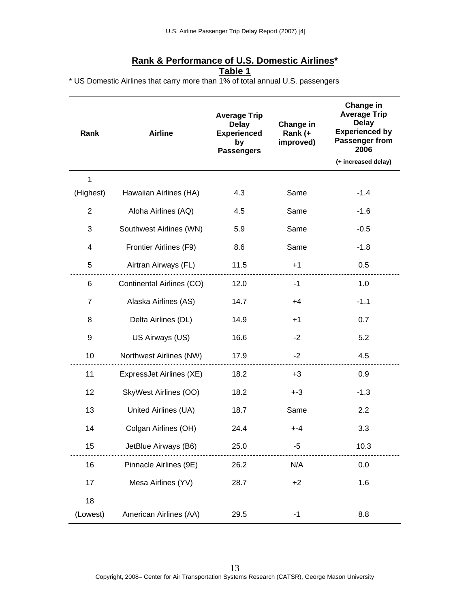#### **Rank & Performance of U.S. Domestic Airlines\* Table 1**

\* US Domestic Airlines that carry more than 1% of total annual U.S. passengers

| Rank           | <b>Airline</b>            | <b>Average Trip</b><br><b>Delay</b><br><b>Experienced</b><br>by<br><b>Passengers</b> | Change in<br>Rank (+<br>improved) | Change in<br><b>Average Trip</b><br><b>Delay</b><br><b>Experienced by</b><br>Passenger from<br>2006<br>(+ increased delay) |
|----------------|---------------------------|--------------------------------------------------------------------------------------|-----------------------------------|----------------------------------------------------------------------------------------------------------------------------|
| $\mathbf 1$    |                           |                                                                                      |                                   |                                                                                                                            |
| (Highest)      | Hawaiian Airlines (HA)    | 4.3                                                                                  | Same                              | $-1.4$                                                                                                                     |
| $\overline{2}$ | Aloha Airlines (AQ)       | 4.5                                                                                  | Same                              | $-1.6$                                                                                                                     |
| 3              | Southwest Airlines (WN)   | 5.9                                                                                  | Same                              | $-0.5$                                                                                                                     |
| 4              | Frontier Airlines (F9)    | 8.6                                                                                  | Same                              | $-1.8$                                                                                                                     |
| 5              | Airtran Airways (FL)      | 11.5                                                                                 | $+1$                              | 0.5                                                                                                                        |
| 6              | Continental Airlines (CO) | 12.0                                                                                 | $-1$                              | 1.0                                                                                                                        |
| 7              | Alaska Airlines (AS)      | 14.7                                                                                 | $+4$                              | $-1.1$                                                                                                                     |
| 8              | Delta Airlines (DL)       | 14.9                                                                                 | $+1$                              | 0.7                                                                                                                        |
| 9              | US Airways (US)           | 16.6                                                                                 | $-2$                              | 5.2                                                                                                                        |
| 10             | Northwest Airlines (NW)   | 17.9                                                                                 | $-2$                              | 4.5                                                                                                                        |
| 11             | ExpressJet Airlines (XE)  | 18.2                                                                                 | $+3$                              | 0.9                                                                                                                        |
| 12             | SkyWest Airlines (OO)     | 18.2                                                                                 | $+3$                              | $-1.3$                                                                                                                     |
| 13             | United Airlines (UA)      | 18.7                                                                                 | Same                              | 2.2                                                                                                                        |
| 14             | Colgan Airlines (OH)      | 24.4                                                                                 | $+ -4$                            | 3.3                                                                                                                        |
| 15             | JetBlue Airways (B6)      | 25.0                                                                                 | $-5$                              | 10.3                                                                                                                       |
| 16             | Pinnacle Airlines (9E)    | 26.2                                                                                 | N/A                               | 0.0                                                                                                                        |
| 17             | Mesa Airlines (YV)        | 28.7                                                                                 | $+2$                              | 1.6                                                                                                                        |
| 18             |                           |                                                                                      |                                   |                                                                                                                            |
| (Lowest)       | American Airlines (AA)    | 29.5                                                                                 | $-1$                              | 8.8                                                                                                                        |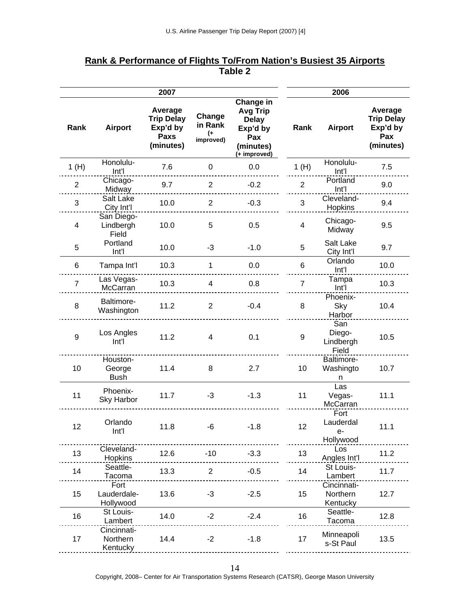|                |                                     | 2007                                                                 |                                            |                                                                                              |                | 2006                                 |                                                              |
|----------------|-------------------------------------|----------------------------------------------------------------------|--------------------------------------------|----------------------------------------------------------------------------------------------|----------------|--------------------------------------|--------------------------------------------------------------|
| Rank           | <b>Airport</b>                      | Average<br><b>Trip Delay</b><br>Exp'd by<br><b>Paxs</b><br>(minutes) | Change<br>in Rank<br>$^{(+)}$<br>improved) | Change in<br><b>Avg Trip</b><br><b>Delay</b><br>Exp'd by<br>Pax<br>(minutes)<br>(+ improved) | Rank           | <b>Airport</b>                       | Average<br><b>Trip Delay</b><br>Exp'd by<br>Pax<br>(minutes) |
| 1(H)           | Honolulu-<br>Int'l                  | 7.6                                                                  | 0                                          | 0.0                                                                                          | 1(H)           | Honolulu-<br>Int'l                   | 7.5                                                          |
| $\overline{c}$ | Chicago-<br>Midway                  | 9.7                                                                  | $\overline{2}$                             | $-0.2$                                                                                       | $\overline{c}$ | Portland<br>Int'l                    | 9.0                                                          |
| $\sqrt{3}$     | Salt Lake<br>City Int'l             | 10.0                                                                 | $\overline{c}$                             | $-0.3$                                                                                       | 3              | Cleveland-<br>Hopkins                | 9.4                                                          |
| 4              | San Diego-<br>Lindbergh<br>Field    | 10.0                                                                 | 5                                          | 0.5                                                                                          | 4              | Chicago-<br>Midway                   | 9.5                                                          |
| 5              | Portland<br>Int'l                   | 10.0                                                                 | $-3$                                       | $-1.0$                                                                                       | 5              | Salt Lake<br>City Int'l              | 9.7                                                          |
| 6              | Tampa Int'l                         | 10.3                                                                 | $\mathbf{1}$                               | 0.0                                                                                          | 6              | Orlando<br>Int'l                     | 10.0                                                         |
| $\overline{7}$ | Las Vegas-<br>McCarran              | 10.3                                                                 | 4                                          | 0.8                                                                                          | $\overline{7}$ | Tampa<br>Int'l                       | 10.3                                                         |
| 8              | Baltimore-<br>Washington            | 11.2                                                                 | $\overline{2}$                             | $-0.4$                                                                                       | 8              | Phoenix-<br>Sky<br>Harbor            | 10.4                                                         |
| $\mathsf g$    | Los Angles<br>Int'l                 | 11.2                                                                 | $\overline{\mathbf{4}}$                    | 0.1                                                                                          | 9              | San<br>Diego-<br>Lindbergh<br>Field  | 10.5                                                         |
| 10             | Houston-<br>George<br><b>Bush</b>   | 11.4                                                                 | 8                                          | 2.7                                                                                          | 10             | Baltimore-<br>Washingto<br>n         | 10.7                                                         |
| 11             | Phoenix-<br><b>Sky Harbor</b>       | 11.7                                                                 | $-3$                                       | $-1.3$                                                                                       | 11             | Las<br>Vegas-<br>McCarran            | 11.1                                                         |
| 12             | Orlando<br>Int'l                    | 11.8                                                                 | -6                                         | $-1.8$                                                                                       | 12             | Fort<br>Lauderdal<br>e-<br>Hollywood | 11.1                                                         |
| 13             | Cleveland-<br>Hopkins               | 12.6                                                                 | $-10$                                      | $-3.3$                                                                                       | 13             | Los<br>Angles Int'l                  | 11.2                                                         |
| 14             | Seattle-<br>Tacoma                  | 13.3                                                                 | $\overline{2}$                             | $-0.5$                                                                                       | 14             | St Louis-<br>Lambert                 | 11.7                                                         |
| 15             | Fort<br>Lauderdale-<br>Hollywood    | 13.6                                                                 | $-3$                                       | $-2.5$                                                                                       | 15             | Cincinnati-<br>Northern<br>Kentucky  | 12.7                                                         |
| 16             | St Louis-<br>Lambert                | 14.0                                                                 | $-2$                                       | $-2.4$                                                                                       | 16             | Seattle-<br>Tacoma                   | 12.8                                                         |
| 17             | Cincinnati-<br>Northern<br>Kentucky | 14.4                                                                 | $-2$                                       | $-1.8$                                                                                       | 17             | Minneapoli<br>s-St Paul              | 13.5                                                         |

#### **Rank & Performance of Flights To/From Nation's Busiest 35 Airports Table 2**

14

Copyright, 2008– Center for Air Transportation Systems Research (CATSR), George Mason University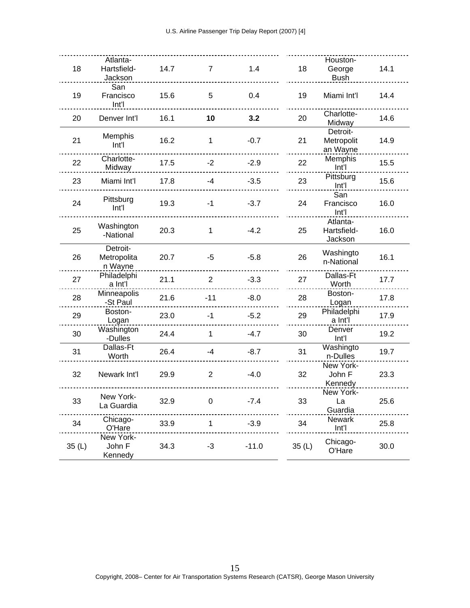| 18    | Atlanta-<br>Hartsfield-<br>Jackson | 14.7 | $\overline{7}$   | 1.4     | 18     | Houston-<br>George<br><b>Bush</b>  | 14.1 |
|-------|------------------------------------|------|------------------|---------|--------|------------------------------------|------|
| 19    | San<br>Francisco<br>Int'l          | 15.6 | 5                | 0.4     | 19     | Miami Int'l                        | 14.4 |
| 20    | Denver Int'l                       | 16.1 | 10               | 3.2     | 20     | Charlotte-<br>Midway               | 14.6 |
| 21    | Memphis<br>Int'l                   | 16.2 | 1                | $-0.7$  | 21     | Detroit-<br>Metropolit<br>an Wayne | 14.9 |
| 22    | Charlotte-<br>Midway               | 17.5 | $-2$             | $-2.9$  | 22     | Memphis<br>Int'l                   | 15.5 |
| 23    | Miami Int'l                        | 17.8 | $-4$             | $-3.5$  | 23     | Pittsburg<br>Int'l                 | 15.6 |
| 24    | Pittsburg<br>Int'l                 | 19.3 | $-1$             | $-3.7$  | 24     | San<br>Francisco<br>Int'l          | 16.0 |
| 25    | Washington<br>-National            | 20.3 | 1                | $-4.2$  | 25     | Atlanta-<br>Hartsfield-<br>Jackson | 16.0 |
| 26    | Detroit-<br>Metropolita<br>n Wayne | 20.7 | -5               | $-5.8$  | 26     | Washingto<br>n-National            | 16.1 |
| 27    | Philadelphi<br>a Int'l             | 21.1 | $\overline{2}$   | $-3.3$  | 27     | Dallas-Ft<br>Worth                 | 17.7 |
| 28    | Minneapolis<br>-St Paul            | 21.6 | $-11$            | $-8.0$  | 28     | Boston-<br>Logan                   | 17.8 |
| 29    | Boston-<br>Logan                   | 23.0 | $-1$             | $-5.2$  | 29     | Philadelphi<br>a Int'l             | 17.9 |
| 30    | Washington<br>-Dulles              | 24.4 | 1                | $-4.7$  | 30     | Denver<br>Int'l                    | 19.2 |
| 31    | Dallas-Ft<br>Worth                 | 26.4 | $-4$             | $-8.7$  | 31     | Washingto<br>n-Dulles              | 19.7 |
| 32    | Newark Int'l                       | 29.9 | $\overline{2}$   | $-4.0$  | 32     | New York-<br>John F<br>Kennedy     | 23.3 |
| 33    | New York-<br>La Guardia            | 32.9 | $\boldsymbol{0}$ | $-7.4$  | 33     | New York-<br>La<br>Guardia         | 25.6 |
| 34    | Chicago-<br>O'Hare                 | 33.9 | 1                | $-3.9$  | 34     | Newark<br>Int'l                    | 25.8 |
| 35(L) | New York-<br>John F<br>Kennedy     | 34.3 | $-3$             | $-11.0$ | 35 (L) | Chicago-<br>O'Hare                 | 30.0 |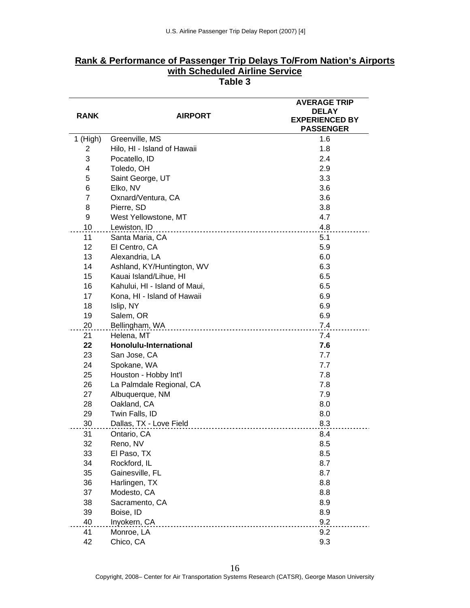| <b>RANK</b> | <b>AIRPORT</b>                | <b>AVERAGE TRIP</b><br><b>DELAY</b><br><b>EXPERIENCED BY</b><br><b>PASSENGER</b> |
|-------------|-------------------------------|----------------------------------------------------------------------------------|
| 1 (High)    | Greenville, MS                | 1.6                                                                              |
| 2           | Hilo, HI - Island of Hawaii   | 1.8                                                                              |
| 3           | Pocatello, ID                 | 2.4                                                                              |
| 4           | Toledo, OH                    | 2.9                                                                              |
| 5           | Saint George, UT              | 3.3                                                                              |
| 6           | Elko, NV                      | 3.6                                                                              |
| 7           | Oxnard/Ventura, CA            | 3.6                                                                              |
| 8           | Pierre, SD                    | 3.8                                                                              |
| 9           | West Yellowstone, MT          | 4.7                                                                              |
| 10          | Lewiston, ID                  | 4.8                                                                              |
| 11          | Santa Maria, CA               | 5.1                                                                              |
| 12          | El Centro, CA                 | 5.9                                                                              |
| 13          | Alexandria, LA                | 6.0                                                                              |
| 14          | Ashland, KY/Huntington, WV    | 6.3                                                                              |
| 15          | Kauai Island/Lihue, HI        | 6.5                                                                              |
| 16          | Kahului, HI - Island of Maui, | 6.5                                                                              |
| 17          | Kona, HI - Island of Hawaii   | 6.9                                                                              |
| 18          | Islip, NY                     | 6.9                                                                              |
| 19          | Salem, OR                     | 6.9                                                                              |
| 20          | Bellingham, WA                | 7.4                                                                              |
| 21          | Helena, MT                    | 7.4                                                                              |
| 22          | Honolulu-International        | 7.6                                                                              |
| 23          | San Jose, CA                  | 7.7                                                                              |
| 24          | Spokane, WA                   | 7.7                                                                              |
| 25          | Houston - Hobby Int'l         | 7.8                                                                              |
| 26          | La Palmdale Regional, CA      | 7.8                                                                              |
| 27          | Albuquerque, NM               | 7.9                                                                              |
| 28          | Oakland, CA                   | 8.0                                                                              |
| 29          | Twin Falls, ID                | 8.0                                                                              |
| 30          | Dallas, TX - Love Field       | 8.3                                                                              |
| 31          | Ontario, CA                   | 8.4                                                                              |
| 32          | Reno, NV                      | 8.5                                                                              |
| 33          | El Paso, TX                   | 8.5                                                                              |
| 34          | Rockford, IL                  | 8.7                                                                              |
| 35          | Gainesville, FL               | 8.7                                                                              |
| 36          | Harlingen, TX                 | 8.8                                                                              |
| 37          | Modesto, CA                   | 8.8                                                                              |
| 38          | Sacramento, CA                | 8.9                                                                              |
| 39          | Boise, ID                     | 8.9                                                                              |
| 40          | Inyokern, CA                  | 9.2                                                                              |
| 41          | Monroe, LA                    | 9.2                                                                              |
| 42          | Chico, CA                     | 9.3                                                                              |

### **Rank & Performance of Passenger Trip Delays To/From Nation's Airports with Scheduled Airline Service**

**Table 3**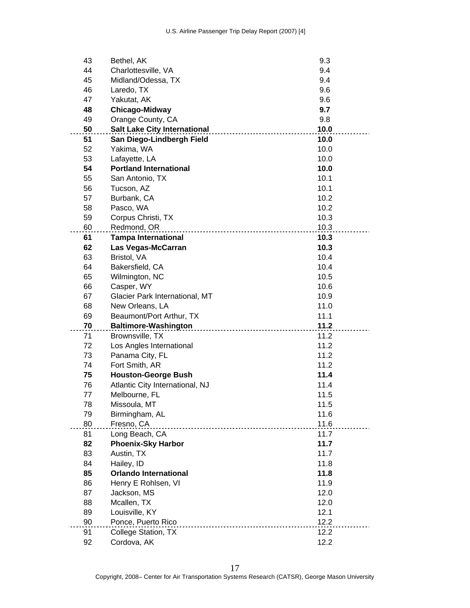| 43 | Bethel, AK                          | 9.3  |
|----|-------------------------------------|------|
| 44 | Charlottesville, VA                 | 9.4  |
| 45 | Midland/Odessa, TX                  | 9.4  |
| 46 | Laredo, TX                          | 9.6  |
| 47 | Yakutat, AK                         | 9.6  |
| 48 | Chicago-Midway                      | 9.7  |
| 49 | Orange County, CA                   | 9.8  |
| 50 | <b>Salt Lake City International</b> | 10.0 |
| 51 | San Diego-Lindbergh Field           | 10.0 |
| 52 | Yakima, WA                          | 10.0 |
| 53 | Lafayette, LA                       | 10.0 |
| 54 | <b>Portland International</b>       | 10.0 |
| 55 | San Antonio, TX                     | 10.1 |
| 56 | Tucson, AZ                          | 10.1 |
| 57 | Burbank, CA                         | 10.2 |
| 58 | Pasco, WA                           | 10.2 |
| 59 | Corpus Christi, TX                  | 10.3 |
| 60 | Redmond, OR                         | 10.3 |
|    |                                     |      |
| 61 | <b>Tampa International</b>          | 10.3 |
| 62 | Las Vegas-McCarran                  | 10.3 |
| 63 | Bristol, VA                         | 10.4 |
| 64 | Bakersfield, CA                     | 10.4 |
| 65 | Wilmington, NC                      | 10.5 |
| 66 | Casper, WY                          | 10.6 |
| 67 | Glacier Park International, MT      | 10.9 |
| 68 | New Orleans, LA                     | 11.0 |
| 69 | Beaumont/Port Arthur, TX            | 11.1 |
| 70 | <b>Baltimore-Washington</b>         | 11.2 |
| 71 | Brownsville, TX                     | 11.2 |
| 72 | Los Angles International            | 11.2 |
| 73 | Panama City, FL                     | 11.2 |
| 74 | Fort Smith, AR                      | 11.2 |
| 75 | <b>Houston-George Bush</b>          | 11.4 |
| 76 | Atlantic City International, NJ     | 11.4 |
| 77 | Melbourne, FL                       | 11.5 |
| 78 | Missoula, MT                        | 11.5 |
| 79 | Birmingham, AL                      | 11.6 |
| 80 | Fresno, CA                          | 11.6 |
| 81 | Long Beach, CA                      | 11.7 |
| 82 | <b>Phoenix-Sky Harbor</b>           | 11.7 |
| 83 | Austin, TX                          | 11.7 |
| 84 | Hailey, ID                          | 11.8 |
| 85 | <b>Orlando International</b>        | 11.8 |
| 86 | Henry E Rohlsen, VI                 | 11.9 |
| 87 | Jackson, MS                         | 12.0 |
| 88 | Mcallen, TX                         | 12.0 |
| 89 | Louisville, KY                      | 12.1 |
| 90 | Ponce, Puerto Rico                  | 12.2 |
| 91 | College Station, TX                 | 12.2 |
| 92 | Cordova, AK                         | 12.2 |
|    |                                     |      |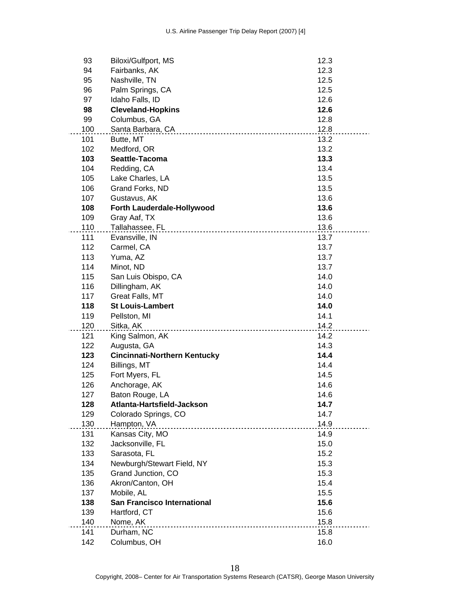| 93  | Biloxi/Gulfport, MS                 | 12.3 |
|-----|-------------------------------------|------|
| 94  | Fairbanks, AK                       | 12.3 |
| 95  | Nashville, TN                       | 12.5 |
| 96  | Palm Springs, CA                    | 12.5 |
| 97  | Idaho Falls, ID                     | 12.6 |
| 98  | <b>Cleveland-Hopkins</b>            | 12.6 |
| 99  | Columbus, GA                        | 12.8 |
| 100 | Santa Barbara, CA                   | 12.8 |
| 101 | Butte, MT                           | 13.2 |
| 102 | Medford, OR                         | 13.2 |
| 103 | Seattle-Tacoma                      | 13.3 |
| 104 | Redding, CA                         | 13.4 |
| 105 | Lake Charles, LA                    | 13.5 |
| 106 | Grand Forks, ND                     | 13.5 |
| 107 | Gustavus, AK                        | 13.6 |
| 108 | Forth Lauderdale-Hollywood          | 13.6 |
| 109 | Gray Aaf, TX                        | 13.6 |
| 110 | Tallahassee, FL                     | 13.6 |
| 111 | Evansville, IN                      | 13.7 |
| 112 | Carmel, CA                          | 13.7 |
| 113 | Yuma, AZ                            | 13.7 |
| 114 | Minot, ND                           | 13.7 |
| 115 | San Luis Obispo, CA                 | 14.0 |
| 116 | Dillingham, AK                      | 14.0 |
| 117 | Great Falls, MT                     | 14.0 |
| 118 | <b>St Louis-Lambert</b>             | 14.0 |
| 119 | Pellston, MI                        | 14.1 |
| 120 | Sitka, AK                           | 14.2 |
| 121 | King Salmon, AK                     | 14.2 |
| 122 | Augusta, GA                         | 14.3 |
| 123 | <b>Cincinnati-Northern Kentucky</b> | 14.4 |
| 124 | Billings, MT                        | 14.4 |
| 125 | Fort Myers, FL                      | 14.5 |
| 126 | Anchorage, AK                       | 14.6 |
| 127 | Baton Rouge, LA                     | 14.6 |
| 128 | Atlanta-Hartsfield-Jackson          | 14.7 |
| 129 | Colorado Springs, CO                | 14.7 |
| 130 | Hampton, VA                         | 14.9 |
| 131 | Kansas City, MO                     | 14.9 |
| 132 | Jacksonville, FL                    | 15.0 |
| 133 | Sarasota, FL                        | 15.2 |
| 134 | Newburgh/Stewart Field, NY          | 15.3 |
| 135 | Grand Junction, CO                  | 15.3 |
| 136 | Akron/Canton, OH                    | 15.4 |
| 137 | Mobile, AL                          | 15.5 |
| 138 | San Francisco International         | 15.6 |
| 139 | Hartford, CT                        | 15.6 |
| 140 | Nome, AK                            | 15.8 |
| 141 | Durham, NC                          | 15.8 |
| 142 | Columbus, OH                        | 16.0 |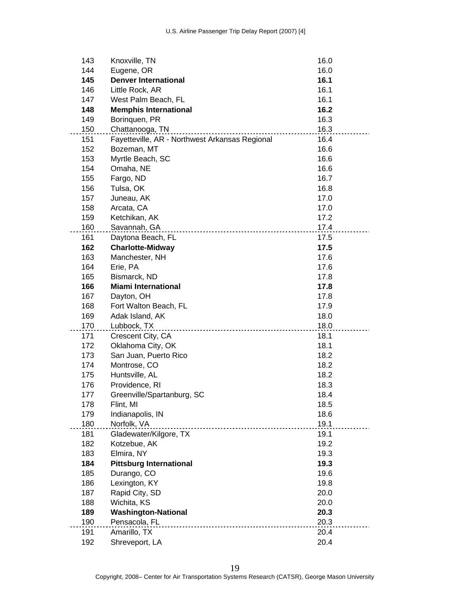| 143 | Knoxville, TN                                  | 16.0 |
|-----|------------------------------------------------|------|
| 144 | Eugene, OR                                     | 16.0 |
| 145 | <b>Denver International</b>                    | 16.1 |
| 146 | Little Rock, AR                                | 16.1 |
| 147 | West Palm Beach, FL                            | 16.1 |
| 148 | <b>Memphis International</b>                   | 16.2 |
| 149 | Borinquen, PR                                  | 16.3 |
| 150 | Chattanooga, TN                                | 16.3 |
| 151 | Fayetteville, AR - Northwest Arkansas Regional | 16.4 |
| 152 | Bozeman, MT                                    | 16.6 |
| 153 | Myrtle Beach, SC                               | 16.6 |
| 154 | Omaha, NE                                      | 16.6 |
| 155 | Fargo, ND                                      | 16.7 |
| 156 | Tulsa, OK                                      | 16.8 |
| 157 | Juneau, AK                                     | 17.0 |
| 158 | Arcata, CA                                     | 17.0 |
| 159 | Ketchikan, AK                                  | 17.2 |
| 160 | Savannah, GA                                   | 17.4 |
| 161 | Daytona Beach, FL                              | 17.5 |
| 162 | <b>Charlotte-Midway</b>                        | 17.5 |
| 163 | Manchester, NH                                 | 17.6 |
| 164 | Erie, PA                                       | 17.6 |
| 165 | Bismarck, ND                                   | 17.8 |
| 166 | <b>Miami International</b>                     | 17.8 |
| 167 | Dayton, OH                                     | 17.8 |
| 168 | Fort Walton Beach, FL                          | 17.9 |
| 169 | Adak Island, AK                                | 18.0 |
| 170 | Lubbock, TX                                    | 18.0 |
| 171 | Crescent City, CA                              | 18.1 |
| 172 | Oklahoma City, OK                              | 18.1 |
| 173 | San Juan, Puerto Rico                          | 18.2 |
| 174 | Montrose, CO                                   | 18.2 |
| 175 | Huntsville, AL                                 | 18.2 |
| 176 | Providence, RI                                 | 18.3 |
| 177 | Greenville/Spartanburg, SC                     | 18.4 |
| 178 | Flint, MI                                      | 18.5 |
| 179 | Indianapolis, IN                               | 18.6 |
| 180 | Norfolk, VA                                    | 19.1 |
| 181 | Gladewater/Kilgore, TX                         | 19.1 |
| 182 | Kotzebue, AK                                   | 19.2 |
| 183 | Elmira, NY                                     | 19.3 |
| 184 | <b>Pittsburg International</b>                 | 19.3 |
| 185 | Durango, CO                                    | 19.6 |
| 186 | Lexington, KY                                  | 19.8 |
| 187 | Rapid City, SD                                 | 20.0 |
| 188 | Wichita, KS                                    | 20.0 |
| 189 | <b>Washington-National</b>                     | 20.3 |
| 190 | Pensacola, FL                                  | 20.3 |
| 191 | Amarillo, TX                                   | 20.4 |
| 192 | Shreveport, LA                                 | 20.4 |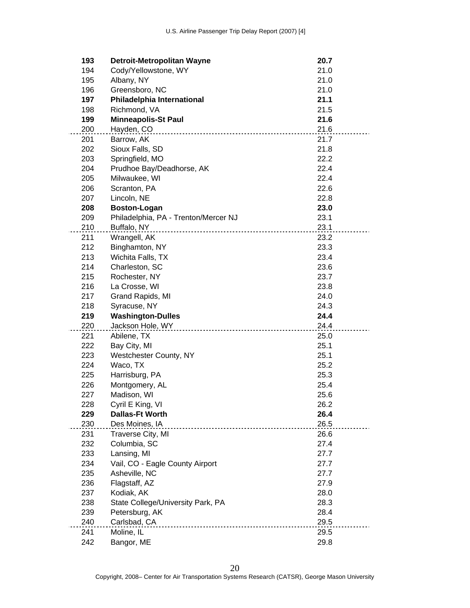| 193 | Detroit-Metropolitan Wayne           | 20.7 |
|-----|--------------------------------------|------|
| 194 | Cody/Yellowstone, WY                 | 21.0 |
| 195 | Albany, NY                           | 21.0 |
| 196 | Greensboro, NC                       | 21.0 |
| 197 | Philadelphia International           | 21.1 |
| 198 | Richmond, VA                         | 21.5 |
| 199 | <b>Minneapolis-St Paul</b>           | 21.6 |
| 200 | Hayden, CO                           | 21.6 |
| 201 | Barrow, AK                           | 21.7 |
| 202 | Sioux Falls, SD                      | 21.8 |
| 203 | Springfield, MO                      | 22.2 |
| 204 | Prudhoe Bay/Deadhorse, AK            | 22.4 |
| 205 | Milwaukee, WI                        | 22.4 |
| 206 | Scranton, PA                         | 22.6 |
| 207 | Lincoln, NE                          | 22.8 |
| 208 | <b>Boston-Logan</b>                  | 23.0 |
| 209 | Philadelphia, PA - Trenton/Mercer NJ | 23.1 |
| 210 | Buffalo, NY                          | 23.1 |
| 211 | Wrangell, AK                         | 23.2 |
| 212 | Binghamton, NY                       | 23.3 |
| 213 | Wichita Falls, TX                    | 23.4 |
| 214 | Charleston, SC                       | 23.6 |
| 215 | Rochester, NY                        | 23.7 |
| 216 | La Crosse, WI                        | 23.8 |
| 217 | Grand Rapids, MI                     | 24.0 |
| 218 | Syracuse, NY                         | 24.3 |
| 219 | <b>Washington-Dulles</b>             | 24.4 |
| 220 | Jackson Hole, WY                     | 24.4 |
| 221 | Abilene, TX                          | 25.0 |
| 222 | Bay City, MI                         | 25.1 |
| 223 | Westchester County, NY               | 25.1 |
| 224 | Waco, TX                             | 25.2 |
| 225 | Harrisburg, PA                       | 25.3 |
| 226 | Montgomery, AL                       | 25.4 |
| 227 | Madison, WI                          | 25.6 |
| 228 | Cyril E King, VI                     | 26.2 |
| 229 | <b>Dallas-Ft Worth</b>               | 26.4 |
| 230 | Des Moines, IA                       | 26.5 |
| 231 | Traverse City, MI                    | 26.6 |
| 232 | Columbia, SC                         | 27.4 |
| 233 | Lansing, MI                          | 27.7 |
| 234 | Vail, CO - Eagle County Airport      | 27.7 |
| 235 | Asheville, NC                        | 27.7 |
| 236 | Flagstaff, AZ                        | 27.9 |
| 237 | Kodiak, AK                           | 28.0 |
| 238 | State College/University Park, PA    | 28.3 |
| 239 | Petersburg, AK                       | 28.4 |
| 240 | Carlsbad, CA                         | 29.5 |
| 241 | Moline, IL                           | 29.5 |
| 242 | Bangor, ME                           | 29.8 |
|     |                                      |      |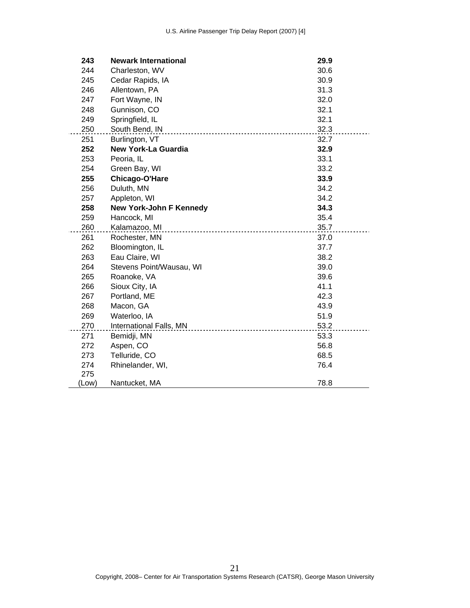| 243   | <b>Newark International</b>    | 29.9 |
|-------|--------------------------------|------|
| 244   | Charleston, WV                 | 30.6 |
| 245   | Cedar Rapids, IA               | 30.9 |
| 246   | Allentown, PA                  | 31.3 |
| 247   | Fort Wayne, IN                 | 32.0 |
| 248   | Gunnison, CO                   | 32.1 |
| 249   | Springfield, IL                | 32.1 |
| 250   | South Bend, IN                 | 32.3 |
| 251   | Burlington, VT                 | 32.7 |
| 252   | <b>New York-La Guardia</b>     | 32.9 |
| 253   | Peoria, IL                     | 33.1 |
| 254   | Green Bay, WI                  | 33.2 |
| 255   | Chicago-O'Hare                 | 33.9 |
| 256   | Duluth, MN                     | 34.2 |
| 257   | Appleton, WI                   | 34.2 |
| 258   | <b>New York-John F Kennedy</b> | 34.3 |
| 259   | Hancock, MI                    | 35.4 |
| 260   | Kalamazoo, MI                  | 35.7 |
| 261   | Rochester, MN                  | 37.0 |
| 262   | Bloomington, IL                | 37.7 |
| 263   | Eau Claire, WI                 | 38.2 |
| 264   | Stevens Point/Wausau, WI       | 39.0 |
| 265   | Roanoke, VA                    | 39.6 |
| 266   | Sioux City, IA                 | 41.1 |
| 267   | Portland, ME                   | 42.3 |
| 268   | Macon, GA                      | 43.9 |
| 269   | Waterloo, IA                   | 51.9 |
| 270   | International Falls, MN        | 53.2 |
| 271   | Bemidji, MN                    | 53.3 |
| 272   | Aspen, CO                      | 56.8 |
| 273   | Telluride, CO                  | 68.5 |
| 274   | Rhinelander, WI,               | 76.4 |
| 275   |                                |      |
| (Low) | Nantucket, MA                  | 78.8 |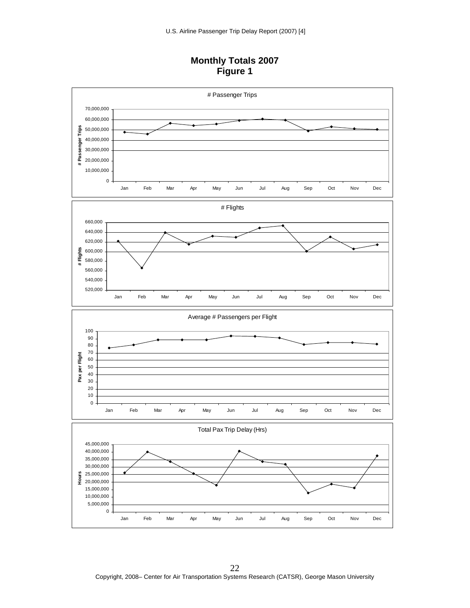**Monthly Totals 2007 Figure 1** 



Copyright, 2008– Center for Air Transportation Systems Research (CATSR), George Mason University 22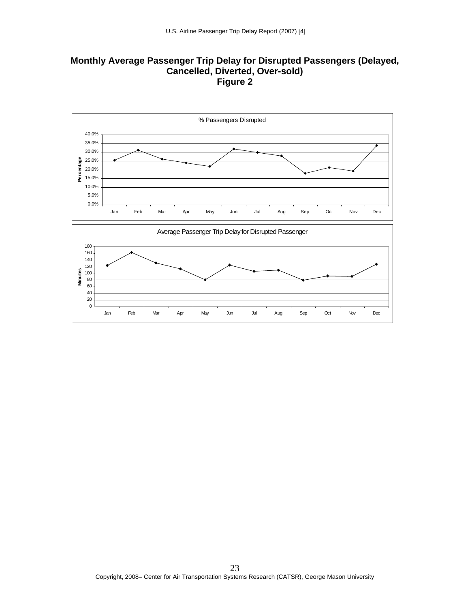#### **Monthly Average Passenger Trip Delay for Disrupted Passengers (Delayed, Cancelled, Diverted, Over-sold) Figure 2**

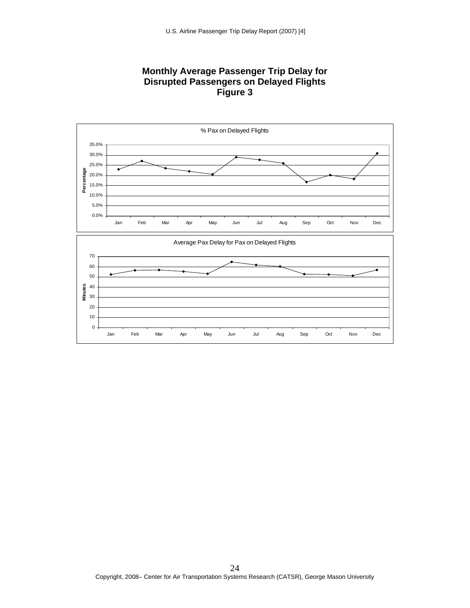#### **Monthly Average Passenger Trip Delay for Disrupted Passengers on Delayed Flights Figure 3**

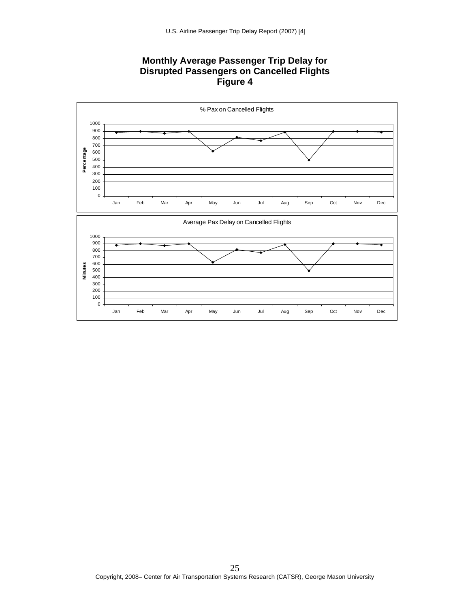

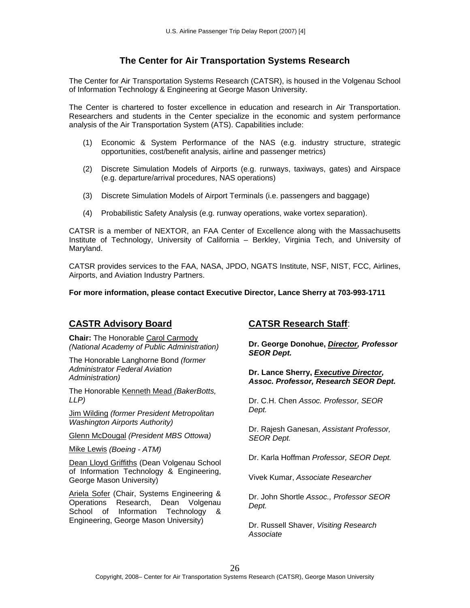#### **The Center for Air Transportation Systems Research**

The Center for Air Transportation Systems Research (CATSR), is housed in the Volgenau School of Information Technology & Engineering at George Mason University.

The Center is chartered to foster excellence in education and research in Air Transportation. Researchers and students in the Center specialize in the economic and system performance analysis of the Air Transportation System (ATS). Capabilities include:

- (1) Economic & System Performance of the NAS (e.g. industry structure, strategic opportunities, cost/benefit analysis, airline and passenger metrics)
- (2) Discrete Simulation Models of Airports (e.g. runways, taxiways, gates) and Airspace (e.g. departure/arrival procedures, NAS operations)
- (3) Discrete Simulation Models of Airport Terminals (i.e. passengers and baggage)
- (4) Probabilistic Safety Analysis (e.g. runway operations, wake vortex separation).

CATSR is a member of NEXTOR, an FAA Center of Excellence along with the Massachusetts Institute of Technology, University of California – Berkley, Virginia Tech, and University of Maryland.

CATSR provides services to the FAA, NASA, JPDO, NGATS Institute, NSF, NIST, FCC, Airlines, Airports, and Aviation Industry Partners.

**For more information, please contact Executive Director, Lance Sherry at 703-993-1711** 

#### **CASTR Advisory Board**

**Chair:** The Honorable Carol Carmody *(National Academy of Public Administration)* 

The Honorable Langhorne Bond *(former Administrator Federal Aviation Administration)*

The Honorable Kenneth Mead *(BakerBotts, LLP)* 

Jim Wilding *(former President Metropolitan Washington Airports Authority)*

Glenn McDougal *(President MBS Ottowa)*

Mike Lewis *(Boeing - ATM)* 

Dean Lloyd Griffiths (Dean Volgenau School of Information Technology & Engineering, George Mason University)

Ariela Sofer (Chair, Systems Engineering & Operations Research, Dean Volgenau School of Information Technology & Engineering, George Mason University)

#### **CATSR Research Staff**:

**Dr. George Donohue,** *Director, Professor SEOR Dept.*

**Dr. Lance Sherry,** *Executive Director, Assoc. Professor, Research SEOR Dept.*

Dr. C.H. Chen *Assoc. Professor, SEOR Dept.*

Dr. Rajesh Ganesan, *Assistant Professor, SEOR Dept.*

Dr. Karla Hoffman *Professor, SEOR Dept.*

Vivek Kumar, *Associate Researcher*

Dr. John Shortle *Assoc., Professor SEOR Dept.*

Dr. Russell Shaver, *Visiting Research Associate*